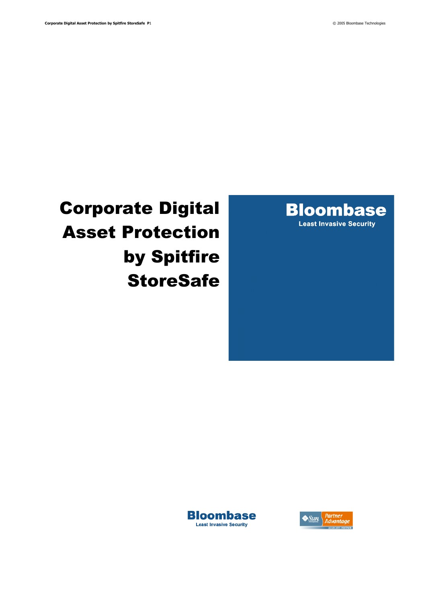

# Corporate Digital Asset Protection by Spitfire **StoreSafe**



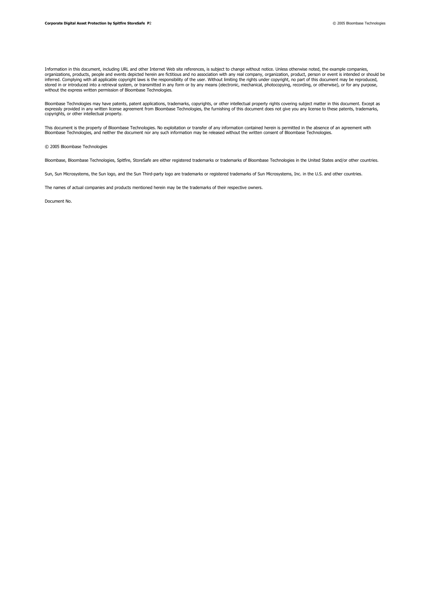Information in this document, including URL and other Internet Web site references, is subject to change without notice. Unless otherwise noted, the example companies, organizations, products, people and events depicted herein are fictitious and no association with any real company, organization, product, person or event is intended or should be inferred. Complying with all applicable copyright laws is the responsibility of the user. Without limiting the rights under copyright, no part of this document may be reproduced,<br>stored in or introduced into a retrieval sy without the express written permission of Bloombase Technologies.

Bloombase Technologies may have patents, patent applications, trademarks, copyrights, or other intellectual property rights covering subject matter in this document. Except as<br>expressly provided in any written license agre copyrights, or other intellectual property.

This document is the property of Bloombase Technologies. No exploitation or transfer of any information contained herein is permitted in the absence of an agreement with<br>Bloombase Technologies, and neither the document nor

© 2005 Bloombase Technologies

Bloombase, Bloombase Technologies, Spitfire, StoreSafe are either registered trademarks or trademarks of Bloombase Technologies in the United States and/or other countries.

Sun, Sun Microsystems, the Sun logo, and the Sun Third-party logo are trademarks or registered trademarks of Sun Microsystems, Inc. in the U.S. and other countries.

The names of actual companies and products mentioned herein may be the trademarks of their respective owners.

Document No.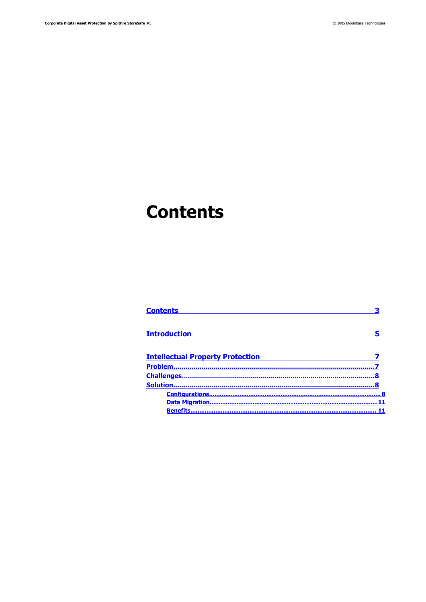# <span id="page-2-0"></span>**Contents**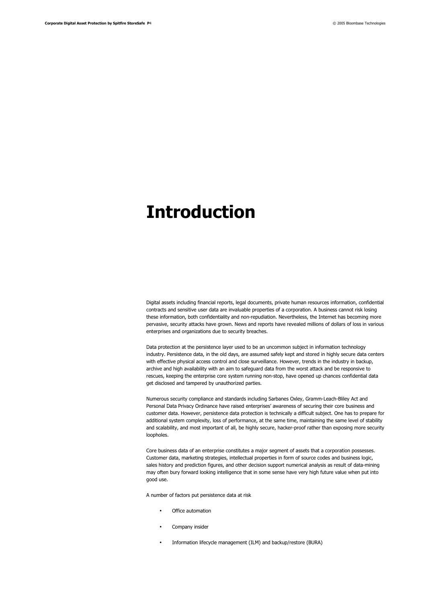## <span id="page-3-0"></span>**Introduction**

Digital assets including financial reports, legal documents, private human resources information, confidential contracts and sensitive user data are invaluable properties of a corporation. A business cannot risk losing these information, both confidentiality and non-repudiation. Nevertheless, the Internet has becoming more pervasive, security attacks have grown. News and reports have revealed millions of dollars of loss in various enterprises and organizations due to security breaches.

Data protection at the persistence layer used to be an uncommon subject in information technology industry. Persistence data, in the old days, are assumed safely kept and stored in highly secure data centers with effective physical access control and close surveillance. However, trends in the industry in backup, archive and high availability with an aim to safeguard data from the worst attack and be responsive to rescues, keeping the enterprise core system running non-stop, have opened up chances confidential data get disclosed and tampered by unauthorized parties.

Numerous security compliance and standards including Sarbanes Oxley, Gramm-Leach-Bliley Act and Personal Data Privacy Ordinance have raised enterprises' awareness of securing their core business and customer data. However, persistence data protection is technically a difficult subject. One has to prepare for additional system complexity, loss of performance, at the same time, maintaining the same level of stability and scalability, and most important of all, be highly secure, hacker-proof rather than exposing more security loopholes.

Core business data of an enterprise constitutes a major segment of assets that a corporation possesses. Customer data, marketing strategies, intellectual properties in form of source codes and business logic, sales history and prediction figures, and other decision support numerical analysis as result of data-mining may often bury forward looking intelligence that in some sense have very high future value when put into good use.

A number of factors put persistence data at risk

- Office automation
- Company insider
- Information lifecycle management (ILM) and backup/restore (BURA)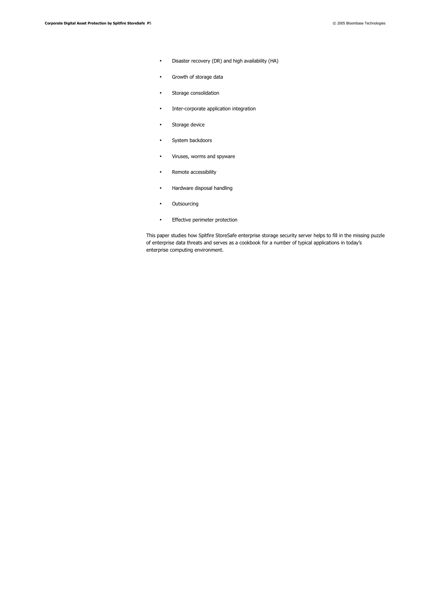- Disaster recovery (DR) and high availability (HA)
- Growth of storage data
- Storage consolidation
- Inter-corporate application integration
- Storage device
- System backdoors
- Viruses, worms and spyware
- Remote accessibility
- Hardware disposal handling
- Outsourcing
- Effective perimeter protection

This paper studies how Spitfire StoreSafe enterprise storage security server helps to fill in the missing puzzle of enterprise data threats and serves as a cookbook for a number of typical applications in today's enterprise computing environment.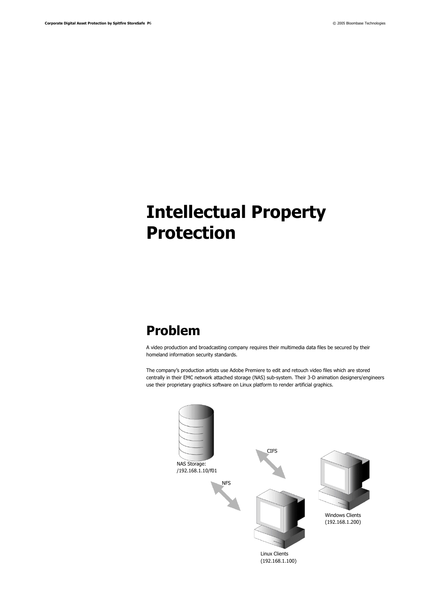# <span id="page-5-1"></span>**Intellectual Property Protection**

## <span id="page-5-0"></span>**Problem**

A video production and broadcasting company requires their multimedia data files be secured by their homeland information security standards.

The company's production artists use Adobe Premiere to edit and retouch video files which are stored centrally in their EMC network attached storage (NAS) sub-system. Their 3-D animation designers/engineers use their proprietary graphics software on Linux platform to render artificial graphics.

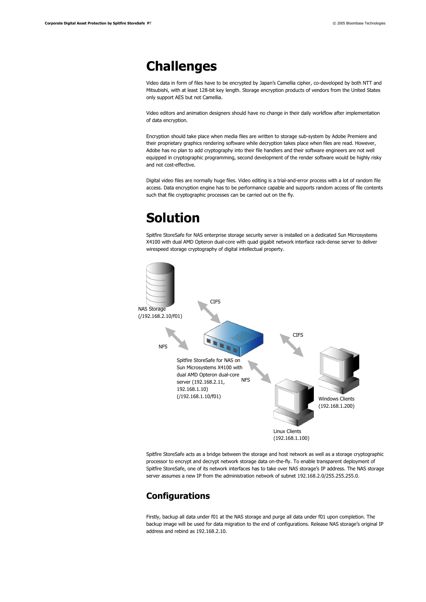### <span id="page-6-2"></span>**Challenges**

Video data in form of files have to be encrypted by Japan's Camellia cipher, co-developed by both NTT and Mitsubishi, with at least 128-bit key length. Storage encryption products of vendors from the United States only support AES but not Camellia.

Video editors and animation designers should have no change in their daily workflow after implementation of data encryption.

Encryption should take place when media files are written to storage sub-system by Adobe Premiere and their proprietary graphics rendering software while decryption takes place when files are read. However, Adobe has no plan to add cryptography into their file handlers and their software engineers are not well equipped in cryptographic programming, second development of the render software would be highly risky and not cost-effective.

Digital video files are normally huge files. Video editing is a trial-and-error process with a lot of random file access. Data encryption engine has to be performance capable and supports random access of file contents such that file cryptographic processes can be carried out on the fly.

## <span id="page-6-1"></span>**Solution**

Spitfire StoreSafe for NAS enterprise storage security server is installed on a dedicated Sun Microsystems X4100 with dual AMD Opteron dual-core with quad gigabit network interface rack-dense server to deliver wirespeed storage cryptography of digital intellectual property.



Spitfire StoreSafe acts as a bridge between the storage and host network as well as a storage cryptographic processor to encrypt and decrypt network storage data on-the-fly. To enable transparent deployment of Spitfire StoreSafe, one of its network interfaces has to take over NAS storage's IP address. The NAS storage server assumes a new IP from the administration network of subnet 192.168.2.0/255.255.255.0.

### <span id="page-6-0"></span>**Configurations**

Firstly, backup all data under f01 at the NAS storage and purge all data under f01 upon completion. The backup image will be used for data migration to the end of configurations. Release NAS storage's original IP address and rebind as 192.168.2.10.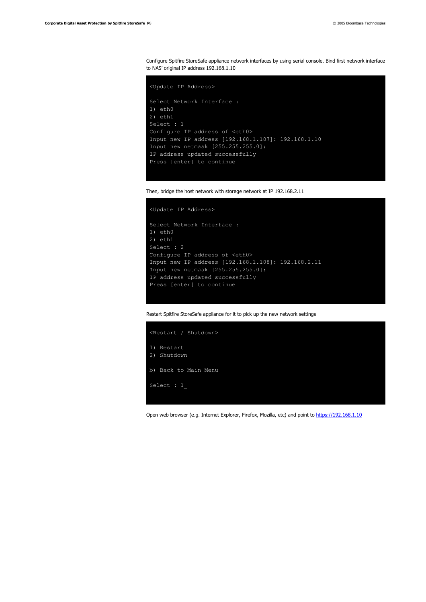Configure Spitfire StoreSafe appliance network interfaces by using serial console. Bind first network interface to NAS' original IP address 192.168.1.10

```
<Update IP Address>
Select Network Interface :
1) eth0
2) eth1
Select : 1
Configure IP address of <eth0>
Input new IP address [192.168.1.107]: 192.168.1.10
Input new netmask [255.255.255.0]:
IP address updated successfully
Press [enter] to continue
```


```
<Update IP Address>
```

```
Select Network Interface :
1) eth0
2) eth1
Select : 2
Configure IP address of <eth0>
Input new IP address [192.168.1.108]: 192.168.2.11
Input new netmask [255.255.255.0]:
IP address updated successfully
Press [enter] to continue
```
Restart Spitfire StoreSafe appliance for it to pick up the new network settings



Open web browser (e.g. Internet Explorer, Firefox, Mozilla, etc) and point to [https://192.168.1.10](https://192.168.1.10/)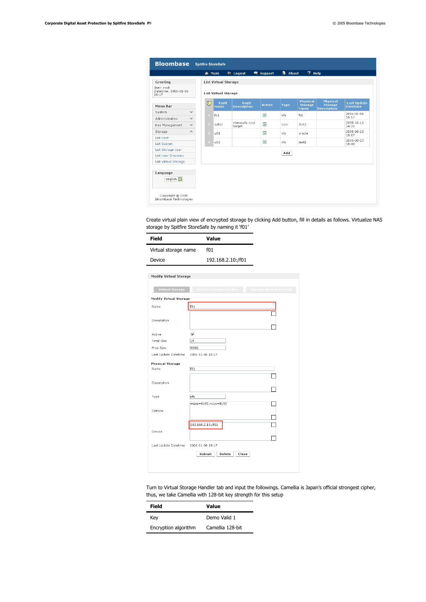|                                             |                              | m Main        |                             | $\leftarrow$ Logout         | <b>●</b> Support | <b>h</b> About | $7$ Help                                  |                                                         |                                       |
|---------------------------------------------|------------------------------|---------------|-----------------------------|-----------------------------|------------------|----------------|-------------------------------------------|---------------------------------------------------------|---------------------------------------|
| Greeting                                    |                              |               | <b>List Virtual Storage</b> |                             |                  |                |                                           |                                                         |                                       |
| User: root<br>Datetime: 2006-01-06<br>18:17 |                              |               | <b>List Virtual Storage</b> |                             |                  |                |                                           |                                                         |                                       |
| Menu Bar                                    |                              | 吧             | Vault<br>Name               | Vault<br><b>Description</b> | Active           | <b>Type</b>    | <b>Physical</b><br><b>Storage</b><br>Name | <b>Physical</b><br><b>Storage</b><br><b>Description</b> | <b>Last Update</b><br><b>Datetime</b> |
| System                                      | $\checkmark$                 | $\mathbf{1}$  | f01                         |                             | 罓                | nfs            | f01                                       |                                                         | 2006-01-06<br>18:17                   |
| Administration<br>Key Management            | $\checkmark$<br>$\checkmark$ | $\mathcal{P}$ | safe1                       | storesafe iscsi<br>target   | ☑                | iscsi          | disk1                                     |                                                         | 2005-10-12<br>14:20                   |
| Storage                                     | $\widehat{\phantom{a}}$      | $\alpha$      | u <sub>01</sub>             |                             | ☑                | nfs            | oracle                                    |                                                         | 2005-08-23<br>18:07                   |
| <b>List Host</b><br><b>List Subnet</b>      |                              |               | u02                         |                             | ☑                | nfs            | test1                                     |                                                         | 2005-08-23<br>18:46                   |
| List Storage User                           |                              |               |                             |                             |                  |                |                                           |                                                         |                                       |
| <b>List User Directory</b>                  |                              |               |                             |                             |                  | Add            |                                           |                                                         |                                       |
| <b>List Virtual Storage</b>                 |                              |               |                             |                             |                  |                |                                           |                                                         |                                       |
|                                             |                              |               |                             |                             |                  |                |                                           |                                                         |                                       |
| Language                                    |                              |               |                             |                             |                  |                |                                           |                                                         |                                       |
| English V                                   |                              |               |                             |                             |                  |                |                                           |                                                         |                                       |

Create virtual plain view of encrypted storage by clicking Add button, fill in details as follows. Virtualize NAS storage by Spitfire StoreSafe by naming it 'f01'

| Field                | Value             |  |  |  |
|----------------------|-------------------|--|--|--|
| Virtual storage name | f01               |  |  |  |
| Device               | 192.168.2.10:/f01 |  |  |  |

| <b>Virtual Storage</b>        | Virtual Storage Handler      | Storage Access Control |
|-------------------------------|------------------------------|------------------------|
| <b>Modify Virtual Storage</b> |                              |                        |
| Name                          | f01                          |                        |
|                               |                              |                        |
| Description                   |                              |                        |
| Active                        | ⊽                            |                        |
| <b>Total Size</b>             | 1T                           |                        |
| Free Size                     | 900G                         |                        |
| Last Update Datetime          | 2006-01-06 18:17             |                        |
| <b>Physical Storage</b>       |                              |                        |
| Name                          | f01                          |                        |
|                               |                              |                        |
| Description                   |                              |                        |
|                               |                              |                        |
| Type                          | nfs<br>wsize=8192,rsize=8192 |                        |
| Options                       |                              |                        |
|                               |                              |                        |
|                               | 192.168.2.10:/f01            |                        |
| Device                        |                              |                        |
|                               |                              |                        |
| Last Update Datetime          | 2006-01-06 18:17             |                        |
|                               | Submit<br>Delete<br>Close    |                        |

Turn to Virtual Storage Handler tab and input the followings. Camellia is Japan's official strongest cipher, thus, we take Camellia with 128-bit key strength for this setup

| Field                | Value            |  |  |  |
|----------------------|------------------|--|--|--|
| Key                  | Demo Valid 1     |  |  |  |
| Encryption algorithm | Camellia 128-bit |  |  |  |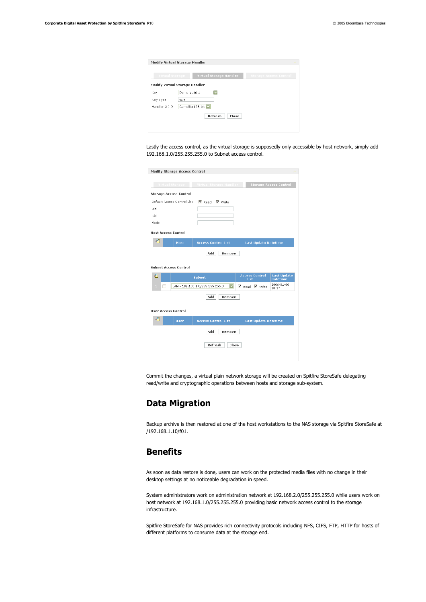|                 | Modify Virtual Storage Handler        |                               |
|-----------------|---------------------------------------|-------------------------------|
| Virtual Storage | Virtual Storage Handler               | <b>Storage Access Control</b> |
|                 | <b>Modify Virtual Storage Handler</b> |                               |
| Key             | Demo Valid 1                          |                               |
| Key Type        | <b>HSM</b>                            |                               |
|                 | Camellia 128-bit                      |                               |

Lastly the access control, as the virtual storage is supposedly only accessible by host network, simply add 192.168.1.0/255.255.255.0 to Subnet access control.

| <b>Modify Storage Access Control</b> |                                                            |             |                                                                  |                                       |
|--------------------------------------|------------------------------------------------------------|-------------|------------------------------------------------------------------|---------------------------------------|
| Virtual Storage                      | Virtual Storage Handler                                    |             |                                                                  | <b>Storage Access Control</b>         |
| <b>Storage Access Control</b>        |                                                            |             |                                                                  |                                       |
| Default Access Control List          | $\overline{\mathbf{v}}$ Read $\overline{\mathbf{v}}$ Write |             |                                                                  |                                       |
| Uid                                  |                                                            |             |                                                                  |                                       |
| Gid                                  |                                                            |             |                                                                  |                                       |
| Mode                                 |                                                            |             |                                                                  |                                       |
| <b>Host Access Control</b>           |                                                            |             |                                                                  |                                       |
| ₽<br>Host                            | <b>Access Control List</b>                                 |             | <b>Last Update Datetime</b>                                      |                                       |
|                                      | Add<br>Remove                                              |             |                                                                  |                                       |
| Subnet Access Control                |                                                            |             |                                                                  |                                       |
| $\mathcal{P}$                        | <b>Subnet</b>                                              | <b>List</b> | <b>Access Control</b>                                            | <b>Last Update</b><br><b>Datetime</b> |
| л<br>п                               | LAN - 192.168.1.0/255.255.255.0                            |             | $\overline{\triangledown}$ Read $\overline{\triangledown}$ Write | 2006-01-06<br>18:17                   |
|                                      | Add<br>Remove                                              |             |                                                                  |                                       |
| <b>User Access Control</b>           |                                                            |             |                                                                  |                                       |
| €<br><b>User</b>                     | <b>Access Control List</b>                                 |             | <b>Last Update Datetime</b>                                      |                                       |
|                                      | Add<br>Remove                                              |             |                                                                  |                                       |
|                                      | Refresh<br>Close                                           |             |                                                                  |                                       |
|                                      |                                                            |             |                                                                  |                                       |

Commit the changes, a virtual plain network storage will be created on Spitfire StoreSafe delegating read/write and cryptographic operations between hosts and storage sub-system.

### <span id="page-9-1"></span>**Data Migration**

Backup archive is then restored at one of the host workstations to the NAS storage via Spitfire StoreSafe at /192.168.1.10/f01.

#### <span id="page-9-0"></span>**Benefits**

As soon as data restore is done, users can work on the protected media files with no change in their desktop settings at no noticeable degradation in speed.

System administrators work on administration network at 192.168.2.0/255.255.255.0 while users work on host network at 192.168.1.0/255.255.255.0 providing basic network access control to the storage infrastructure.

Spitfire StoreSafe for NAS provides rich connectivity protocols including NFS, CIFS, FTP, HTTP for hosts of different platforms to consume data at the storage end.